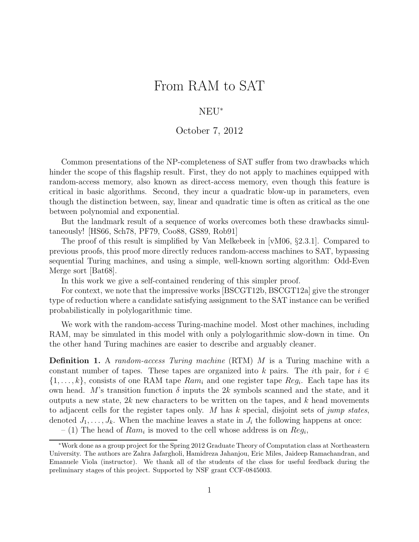# From RAM to SAT

### NEU<sup>∗</sup>

#### October 7, 2012

Common presentations of the NP-completeness of SAT suffer from two drawbacks which hinder the scope of this flagship result. First, they do not apply to machines equipped with random-access memory, also known as direct-access memory, even though this feature is critical in basic algorithms. Second, they incur a quadratic blow-up in parameters, even though the distinction between, say, linear and quadratic time is often as critical as the one between polynomial and exponential.

But the landmark result of a sequence of works overcomes both these drawbacks simultaneously! [HS66, Sch78, PF79, Coo88, GS89, Rob91]

The proof of this result is simplified by Van Melkebeek in [vM06, §2.3.1]. Compared to previous proofs, this proof more directly reduces random-access machines to SAT, bypassing sequential Turing machines, and using a simple, well-known sorting algorithm: Odd-Even Merge sort [Bat68].

In this work we give a self-contained rendering of this simpler proof.

For context, we note that the impressive works [BSCGT12b, BSCGT12a] give the stronger type of reduction where a candidate satisfying assignment to the SAT instance can be verified probabilistically in polylogarithmic time.

We work with the random-access Turing-machine model. Most other machines, including RAM, may be simulated in this model with only a polylogarithmic slow-down in time. On the other hand Turing machines are easier to describe and arguably cleaner.

Definition 1. A *random-access Turing machine* (RTM) M is a Turing machine with a constant number of tapes. These tapes are organized into k pairs. The ith pair, for  $i \in$  $\{1, \ldots, k\}$ , consists of one RAM tape  $Ram_i$  and one register tape  $Reg_i$ . Each tape has its own head. M's transition function  $\delta$  inputs the 2k symbols scanned and the state, and it outputs a new state,  $2k$  new characters to be written on the tapes, and  $k$  head movements to adjacent cells for the register tapes only. M has k special, disjoint sets of *jump states*, denoted  $J_1, \ldots, J_k$ . When the machine leaves a state in  $J_i$  the following happens at once:

 $-$  (1) The head of  $Ram_i$  is moved to the cell whose address is on  $Reg_i$ ,

<sup>∗</sup>Work done as a group project for the Spring 2012 Graduate Theory of Computation class at Northeastern University. The authors are Zahra Jafargholi, Hamidreza Jahanjou, Eric Miles, Jaideep Ramachandran, and Emanuele Viola (instructor). We thank all of the students of the class for useful feedback during the preliminary stages of this project. Supported by NSF grant CCF-0845003.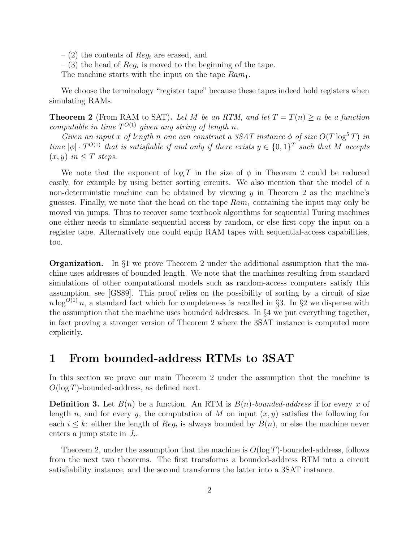$-$  (2) the contents of  $Reg_i$  are erased, and

 $-$  (3) the head of  $Reg_i$  is moved to the beginning of the tape.

The machine starts with the input on the tape  $Ram_1$ .

We choose the terminology "register tape" because these tapes indeed hold registers when simulating RAMs.

**Theorem 2** (From RAM to SAT). Let M be an RTM, and let  $T = T(n) > n$  be a function *computable in time*  $T^{O(1)}$  *given any string of length n.* 

*Given an input* x of length n one can construct a 3SAT instance  $\phi$  of size  $O(T \log^5 T)$  in *time*  $|\phi| \cdot T^{O(1)}$  *that is satisfiable if and only if there exists*  $y \in \{0,1\}^T$  *such that* M *accepts*  $(x, y)$  *in*  $\leq T$  *steps.* 

We note that the exponent of  $\log T$  in the size of  $\phi$  in Theorem 2 could be reduced easily, for example by using better sorting circuits. We also mention that the model of a non-deterministic machine can be obtained by viewing  $y$  in Theorem 2 as the machine's guesses. Finally, we note that the head on the tape  $Ram_1$  containing the input may only be moved via jumps. Thus to recover some textbook algorithms for sequential Turing machines one either needs to simulate sequential access by random, or else first copy the input on a register tape. Alternatively one could equip RAM tapes with sequential-access capabilities, too.

Organization. In §1 we prove Theorem 2 under the additional assumption that the machine uses addresses of bounded length. We note that the machines resulting from standard simulations of other computational models such as random-access computers satisfy this assumption, see [GS89]. This proof relies on the possibility of sorting by a circuit of size  $n \log^{O(1)} n$ , a standard fact which for completeness is recalled in §3. In §2 we dispense with the assumption that the machine uses bounded addresses. In §4 we put everything together, in fact proving a stronger version of Theorem 2 where the 3SAT instance is computed more explicitly.

# 1 From bounded-address RTMs to 3SAT

In this section we prove our main Theorem 2 under the assumption that the machine is  $O(\log T)$ -bounded-address, as defined next.

**Definition 3.** Let  $B(n)$  be a function. An RTM is  $B(n)$ -bounded-address if for every x of length n, and for every y, the computation of M on input  $(x, y)$  satisfies the following for each  $i \leq k$ : either the length of  $Reg_i$  is always bounded by  $B(n)$ , or else the machine never enters a jump state in  $J_i$ .

Theorem 2, under the assumption that the machine is  $O(\log T)$ -bounded-address, follows from the next two theorems. The first transforms a bounded-address RTM into a circuit satisfiability instance, and the second transforms the latter into a 3SAT instance.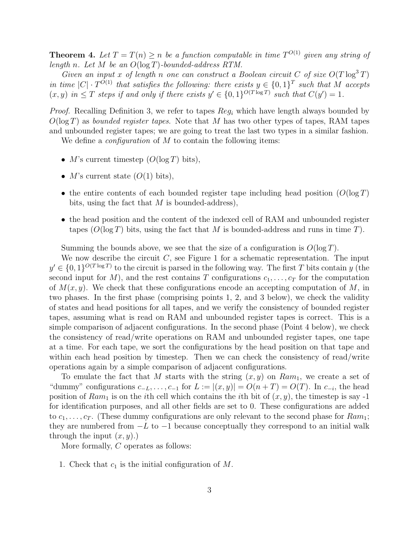**Theorem 4.** Let  $T = T(n) \geq n$  be a function computable in time  $T^{O(1)}$  given any string of *length* n*. Let* M *be an* O(log T)*-bounded-address RTM.*

*Given an input* x of length n one can construct a Boolean circuit C of size  $O(T \log^3 T)$ *in time*  $|C| \cdot T^{O(1)}$  *that satisfies the following: there exists*  $y \in \{0,1\}^T$  *such that* M *accepts*  $(x, y)$  in  $\leq T$  steps if and only if there exists  $y' \in \{0, 1\}^{O(T \log T)}$  such that  $C(y') = 1$ .

*Proof.* Recalling Definition 3, we refer to tapes  $Reg_i$  which have length always bounded by O(log T) as *bounded register tapes*. Note that M has two other types of tapes, RAM tapes and unbounded register tapes; we are going to treat the last two types in a similar fashion. We define a *configuration* of M to contain the following items:

• M's current timestep  $(O(\log T)$  bits),

- *M*'s current state  $(O(1)$  bits),
- the entire contents of each bounded register tape including head position  $(O(\log T))$ bits, using the fact that  $M$  is bounded-address),
- the head position and the content of the indexed cell of RAM and unbounded register tapes  $(O(\log T))$  bits, using the fact that M is bounded-address and runs in time T).

Summing the bounds above, we see that the size of a configuration is  $O(\log T)$ .

We now describe the circuit  $C$ , see Figure 1 for a schematic representation. The input  $y' \in \{0,1\}^{O(T \log T)}$  to the circuit is parsed in the following way. The first T bits contain y (the second input for M), and the rest contains T configurations  $c_1, \ldots, c_T$  for the computation of  $M(x, y)$ . We check that these configurations encode an accepting computation of M, in two phases. In the first phase (comprising points 1, 2, and 3 below), we check the validity of states and head positions for all tapes, and we verify the consistency of bounded register tapes, assuming what is read on RAM and unbounded register tapes is correct. This is a simple comparison of adjacent configurations. In the second phase (Point 4 below), we check the consistency of read/write operations on RAM and unbounded register tapes, one tape at a time. For each tape, we sort the configurations by the head position on that tape and within each head position by timestep. Then we can check the consistency of read/write operations again by a simple comparison of adjacent configurations.

To emulate the fact that M starts with the string  $(x, y)$  on  $Ram_1$ , we create a set of "dummy" configurations  $c_{-L}, \ldots, c_{-1}$  for  $L := |(x, y)| = O(n + T) = O(T)$ . In  $c_{-i}$ , the head position of  $Ram_1$  is on the *i*th cell which contains the *i*th bit of  $(x, y)$ , the timestep is say -1 for identification purposes, and all other fields are set to 0. These configurations are added to  $c_1, \ldots, c_T$ . (These dummy configurations are only relevant to the second phase for  $Ram_1$ ; they are numbered from  $-L$  to  $-1$  because conceptually they correspond to an initial walk through the input  $(x, y)$ .)

More formally, C operates as follows:

1. Check that  $c_1$  is the initial configuration of M.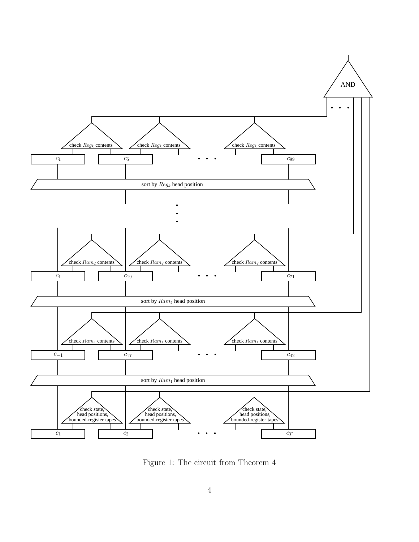

Figure 1: The circuit from Theorem 4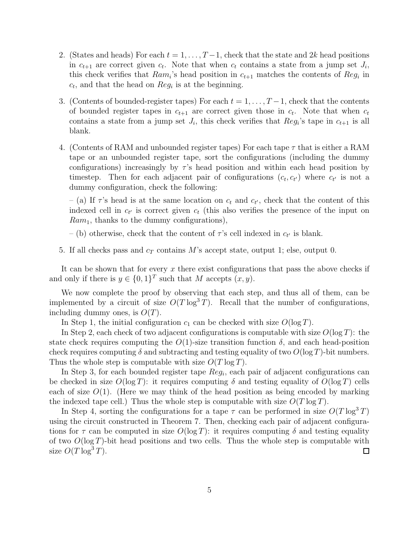- 2. (States and heads) For each  $t = 1, \ldots, T-1$ , check that the state and 2k head positions in  $c_{t+1}$  are correct given  $c_t$ . Note that when  $c_t$  contains a state from a jump set  $J_i$ , this check verifies that  $Ram_i$ 's head position in  $c_{t+1}$  matches the contents of  $Reg_i$  in  $c_t$ , and that the head on  $Reg_i$  is at the beginning.
- 3. (Contents of bounded-register tapes) For each  $t = 1, \ldots, T-1$ , check that the contents of bounded register tapes in  $c_{t+1}$  are correct given those in  $c_t$ . Note that when  $c_t$ contains a state from a jump set  $J_i$ , this check verifies that  $Reg_i$ 's tape in  $c_{t+1}$  is all blank.
- 4. (Contents of RAM and unbounded register tapes) For each tape  $\tau$  that is either a RAM tape or an unbounded register tape, sort the configurations (including the dummy configurations) increasingly by  $\tau$ 's head position and within each head position by timestep. Then for each adjacent pair of configurations  $(c_t, c_{t'})$  where  $c_{t'}$  is not a dummy configuration, check the following:

 $-$  (a) If  $\tau$ 's head is at the same location on  $c_t$  and  $c_{t'}$ , check that the content of this indexed cell in  $c_{t'}$  is correct given  $c_t$  (this also verifies the presence of the input on  $Ram_1$ , thanks to the dummy configurations),

– (b) otherwise, check that the content of  $\tau$ 's cell indexed in  $c_{t'}$  is blank.

5. If all checks pass and  $c<sub>T</sub>$  contains M's accept state, output 1; else, output 0.

It can be shown that for every  $x$  there exist configurations that pass the above checks if and only if there is  $y \in \{0,1\}^T$  such that M accepts  $(x, y)$ .

We now complete the proof by observing that each step, and thus all of them, can be implemented by a circuit of size  $O(T \log^3 T)$ . Recall that the number of configurations, including dummy ones, is  $O(T)$ .

In Step 1, the initial configuration  $c_1$  can be checked with size  $O(\log T)$ .

In Step 2, each check of two adjacent configurations is computable with size  $O(\log T)$ : the state check requires computing the  $O(1)$ -size transition function  $\delta$ , and each head-position check requires computing  $\delta$  and subtracting and testing equality of two  $O(\log T)$ -bit numbers. Thus the whole step is computable with size  $O(T \log T)$ .

In Step 3, for each bounded register tape  $Reg_i$ , each pair of adjacent configurations can be checked in size  $O(\log T)$ : it requires computing  $\delta$  and testing equality of  $O(\log T)$  cells each of size  $O(1)$ . (Here we may think of the head position as being encoded by marking the indexed tape cell.) Thus the whole step is computable with size  $O(T \log T)$ .

In Step 4, sorting the configurations for a tape  $\tau$  can be performed in size  $O(T \log^3 T)$ using the circuit constructed in Theorem 7. Then, checking each pair of adjacent configurations for  $\tau$  can be computed in size  $O(\log T)$ : it requires computing  $\delta$  and testing equality of two  $O(\log T)$ -bit head positions and two cells. Thus the whole step is computable with size  $O(T \log^3 T)$ .  $\Box$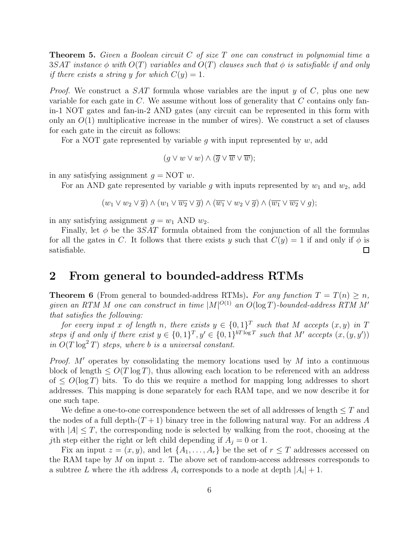Theorem 5. *Given a Boolean circuit* C *of size* T *one can construct in polynomial time a* 3SAT *instance* φ *with* O(T) *variables and* O(T) *clauses such that* φ *is satisfiable if and only if there exists a string* y *for which*  $C(y) = 1$ *.* 

*Proof.* We construct a *SAT* formula whose variables are the input y of C, plus one new variable for each gate in  $C$ . We assume without loss of generality that  $C$  contains only fanin-1 NOT gates and fan-in-2 AND gates (any circuit can be represented in this form with only an  $O(1)$  multiplicative increase in the number of wires). We construct a set of clauses for each gate in the circuit as follows:

For a NOT gate represented by variable q with input represented by  $w$ , add

$$
(g \vee w \vee w) \wedge (\overline{g} \vee \overline{w} \vee \overline{w});
$$

in any satisfying assignment  $q = NOT w$ .

For an AND gate represented by variable g with inputs represented by  $w_1$  and  $w_2$ , add

$$
(w_1 \vee w_2 \vee \overline{g}) \wedge (w_1 \vee \overline{w_2} \vee \overline{g}) \wedge (\overline{w_1} \vee w_2 \vee \overline{g}) \wedge (\overline{w_1} \vee \overline{w_2} \vee g);
$$

in any satisfying assignment  $g = w_1$  AND  $w_2$ .

Finally, let  $\phi$  be the 3SAT formula obtained from the conjunction of all the formulas for all the gates in C. It follows that there exists y such that  $C(y) = 1$  if and only if  $\phi$  is satisfiable. □

### 2 From general to bounded-address RTMs

**Theorem 6** (From general to bounded-address RTMs). For any function  $T = T(n) > n$ ,  $given$  an RTM M one can construct in time  $|M|^{O(1)}$  an  $O(\log T)$ -bounded-address RTM M' *that satisfies the following:*

*for every input* x of length n, there exists  $y \in \{0,1\}^T$  such that M accepts  $(x, y)$  in T steps if and only if there exist  $y \in \{0,1\}^T$ ,  $y' \in \{0,1\}^{bT \log T}$  such that M' accepts  $(x,(y, y'))$  $\sin O(T \log^2 T)$  *steps, where b is a universal constant.* 

*Proof.* M' operates by consolidating the memory locations used by M into a continuous block of length  $\leq O(T \log T)$ , thus allowing each location to be referenced with an address of  $\leq O(\log T)$  bits. To do this we require a method for mapping long addresses to short addresses. This mapping is done separately for each RAM tape, and we now describe it for one such tape.

We define a one-to-one correspondence between the set of all addresses of length  $\leq T$  and the nodes of a full depth- $(T + 1)$  binary tree in the following natural way. For an address A with  $|A| \leq T$ , the corresponding node is selected by walking from the root, choosing at the jth step either the right or left child depending if  $A_i = 0$  or 1.

Fix an input  $z = (x, y)$ , and let  $\{A_1, \ldots, A_r\}$  be the set of  $r \leq T$  addresses accessed on the RAM tape by M on input z. The above set of random-access addresses corresponds to a subtree L where the *i*th address  $A_i$  corresponds to a node at depth  $|A_i| + 1$ .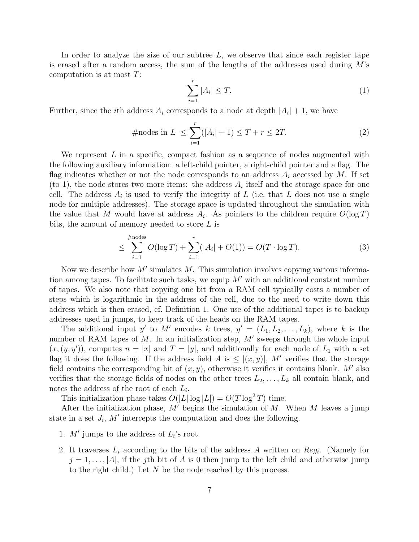In order to analyze the size of our subtree  $L$ , we observe that since each register tape is erased after a random access, the sum of the lengths of the addresses used during  $M$ 's computation is at most  $T$ :

$$
\sum_{i=1}^{r} |A_i| \le T. \tag{1}
$$

Further, since the *i*th address  $A_i$  corresponds to a node at depth  $|A_i| + 1$ , we have

#nodes in 
$$
L \le \sum_{i=1}^{r} (|A_i| + 1) \le T + r \le 2T.
$$
 (2)

We represent  $L$  in a specific, compact fashion as a sequence of nodes augmented with the following auxiliary information: a left-child pointer, a right-child pointer and a flag. The flag indicates whether or not the node corresponds to an address  $A_i$  accessed by M. If set (to 1), the node stores two more items: the address  $A_i$  itself and the storage space for one cell. The address  $A_i$  is used to verify the integrity of L (i.e. that L does not use a single node for multiple addresses). The storage space is updated throughout the simulation with the value that M would have at address  $A_i$ . As pointers to the children require  $O(\log T)$ bits, the amount of memory needed to store L is

$$
\leq \sum_{i=1}^{\#\text{nodes}} O(\log T) + \sum_{i=1}^r (|A_i| + O(1)) = O(T \cdot \log T). \tag{3}
$$

Now we describe how  $M'$  simulates  $M$ . This simulation involves copying various information among tapes. To facilitate such tasks, we equip  $M'$  with an additional constant number of tapes. We also note that copying one bit from a RAM cell typically costs a number of steps which is logarithmic in the address of the cell, due to the need to write down this address which is then erased, cf. Definition 1. One use of the additional tapes is to backup addresses used in jumps, to keep track of the heads on the RAM tapes.

The additional input y' to M' encodes k trees,  $y' = (L_1, L_2, \ldots, L_k)$ , where k is the number of RAM tapes of M. In an initialization step,  $M'$  sweeps through the whole input  $(x,(y, y'))$ , computes  $n = |x|$  and  $T = |y|$ , and additionally for each node of  $L_1$  with a set flag it does the following. If the address field A is  $\leq$   $|(x, y)|$ , M' verifies that the storage field contains the corresponding bit of  $(x, y)$ , otherwise it verifies it contains blank. M' also verifies that the storage fields of nodes on the other trees  $L_2, \ldots, L_k$  all contain blank, and notes the address of the root of each  $L_i$ .

This initialization phase takes  $O(|L| \log |L|) = O(T \log^2 T)$  time.

After the initialization phase, M' begins the simulation of M. When M leaves a jump state in a set  $J_i$ , M' intercepts the computation and does the following.

- 1.  $M'$  jumps to the address of  $L_i$ 's root.
- 2. It traverses  $L_i$  according to the bits of the address A written on  $Reg_i$ . (Namely for  $j = 1, \ldots, |A|$ , if the j<sup>th</sup> bit of A is 0 then jump to the left child and otherwise jump to the right child.) Let  $N$  be the node reached by this process.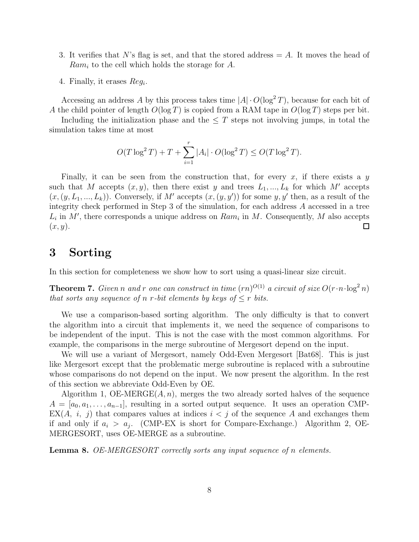- 3. It verifies that N's flag is set, and that the stored address  $= A$ . It moves the head of  $Ram_i$  to the cell which holds the storage for A.
- 4. Finally, it erases  $Reg_i$ .

Accessing an address A by this process takes time  $|A| \cdot O(\log^2 T)$ , because for each bit of A the child pointer of length  $O(\log T)$  is copied from a RAM tape in  $O(\log T)$  steps per bit.

Including the initialization phase and the  $\leq T$  steps not involving jumps, in total the simulation takes time at most

$$
O(T \log^2 T) + T + \sum_{i=1}^r |A_i| \cdot O(\log^2 T) \le O(T \log^2 T).
$$

Finally, it can be seen from the construction that, for every x, if there exists a y such that M accepts  $(x, y)$ , then there exist y and trees  $L_1, ..., L_k$  for which M' accepts  $(x,(y,L_1,...,L_k))$ . Conversely, if M' accepts  $(x,(y,y'))$  for some  $y, y'$  then, as a result of the integrity check performed in Step 3 of the simulation, for each address A accessed in a tree  $L_i$  in M', there corresponds a unique address on  $Ram_i$  in M. Consequently, M also accepts  $(x, y)$ .  $\Box$ 

# 3 Sorting

In this section for completeness we show how to sort using a quasi-linear size circuit.

**Theorem 7.** Given n and r one can construct in time  $(rn)^{O(1)}$  a circuit of size  $O(r \cdot n \cdot \log^2 n)$ *that sorts any sequence of n r-bit elements by keys of*  $\leq r$  *bits.* 

We use a comparison-based sorting algorithm. The only difficulty is that to convert the algorithm into a circuit that implements it, we need the sequence of comparisons to be independent of the input. This is not the case with the most common algorithms. For example, the comparisons in the merge subroutine of Mergesort depend on the input.

We will use a variant of Mergesort, namely Odd-Even Mergesort [Bat68]. This is just like Mergesort except that the problematic merge subroutine is replaced with a subroutine whose comparisons do not depend on the input. We now present the algorithm. In the rest of this section we abbreviate Odd-Even by OE.

Algorithm 1, OE-MERGE $(A, n)$ , merges the two already sorted halves of the sequence  $A = [a_0, a_1, \ldots, a_{n-1}]$ , resulting in a sorted output sequence. It uses an operation CMP- $EX(A, i, j)$  that compares values at indices  $i < j$  of the sequence A and exchanges them if and only if  $a_i > a_j$ . (CMP-EX is short for Compare-Exchange.) Algorithm 2, OE-MERGESORT, uses OE-MERGE as a subroutine.

Lemma 8. *OE-MERGESORT correctly sorts any input sequence of* n *elements.*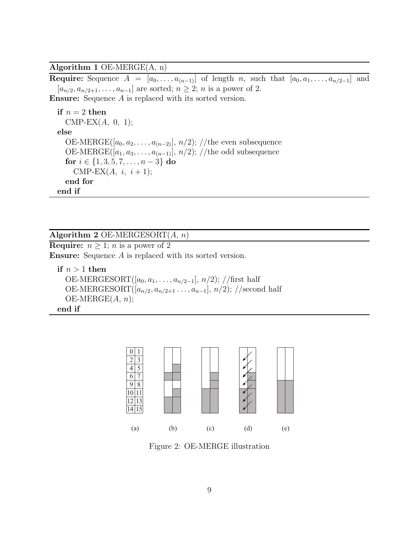Algorithm 1 OE-MERGE(A, n)

Require: Sequence  $A = [a_0, \ldots, a_{(n-1)}]$  of length n, such that  $[a_0, a_1, \ldots, a_{n/2-1}]$  and  $[a_{n/2}, a_{n/2+1}, \ldots, a_{n-1}]$  are sorted;  $n \geq 2$ ; n is a power of 2.

Ensure: Sequence A is replaced with its sorted version.

```
if n = 2 then
  CMP-EX(A, 0, 1);else
  OE-MERGE([a_0, a_2, \ldots, a_{(n-2)}], n/2); //the even subsequence
  OE-MERGE([a_1, a_3, \ldots, a_{(n-1)}], n/2); //the odd subsequence
  for i \in \{1, 3, 5, 7, \ldots, n-3\} do
    CMP-EX(A, i, i+1);end for
end if
```
#### Algorithm 2 OE-MERGESORT $(A, n)$

**Require:**  $n \geq 1$ ; *n* is a power of 2 Ensure: Sequence A is replaced with its sorted version.

if  $n > 1$  then OE-MERGESORT $([a_0, a_1, \ldots, a_{n/2-1}], n/2)$ ; //first half OE-MERGESORT $([a_{n/2}, a_{n/2+1}, \ldots, a_{n-1}], n/2)$ ; //second half  $OE-MERGE(A, n);$ end if



Figure 2: OE-MERGE illustration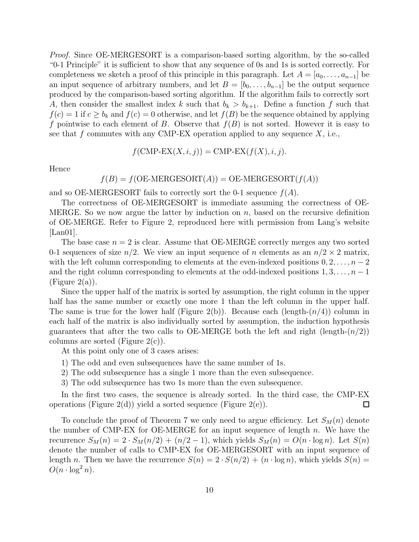*Proof.* Since OE-MERGESORT is a comparison-based sorting algorithm, by the so-called "0-1 Principle" it is sufficient to show that any sequence of 0s and 1s is sorted correctly. For completeness we sketch a proof of this principle in this paragraph. Let  $A = [a_0, \ldots, a_{n-1}]$  be an input sequence of arbitrary numbers, and let  $B = [b_0, \ldots, b_{n-1}]$  be the output sequence produced by the comparison-based sorting algorithm. If the algorithm fails to correctly sort A, then consider the smallest index k such that  $b_k > b_{k+1}$ . Define a function f such that  $f(c) = 1$  if  $c \ge b_k$  and  $f(c) = 0$  otherwise, and let  $f(B)$  be the sequence obtained by applying f pointwise to each element of B. Observe that  $f(B)$  is not sorted. However it is easy to see that f commutes with any CMP-EX operation applied to any sequence  $X$ , i.e.,

$$
f(\text{CMP-EX}(X,i,j)) = \text{CMP-EX}(f(X),i,j).
$$

Hence

$$
f(B) = f(OE-MERGESORT(A)) = OE-MERGESORT(f(A))
$$

and so OE-MERGESORT fails to correctly sort the 0-1 sequence  $f(A)$ .

The correctness of OE-MERGESORT is immediate assuming the correctness of OE-MERGE. So we now argue the latter by induction on  $n$ , based on the recursive definition of OE-MERGE. Refer to Figure 2, reproduced here with permission from Lang's website [Lan01].

The base case  $n = 2$  is clear. Assume that OE-MERGE correctly merges any two sorted 0-1 sequences of size  $n/2$ . We view an input sequence of n elements as an  $n/2 \times 2$  matrix, with the left column corresponding to elements at the even-indexed positions  $0, 2, \ldots, n-2$ and the right column corresponding to elements at the odd-indexed positions  $1, 3, \ldots, n - 1$  $(Figure 2(a)).$ 

Since the upper half of the matrix is sorted by assumption, the right column in the upper half has the same number or exactly one more 1 than the left column in the upper half. The same is true for the lower half (Figure 2(b)). Because each (length- $(n/4)$ ) column in each half of the matrix is also individually sorted by assumption, the induction hypothesis guarantees that after the two calls to OE-MERGE both the left and right (length- $(n/2)$ ) columns are sorted (Figure  $2(c)$ ).

At this point only one of 3 cases arises:

- 1) The odd and even subsequences have the same number of 1s.
- 2) The odd subsequence has a single 1 more than the even subsequence.
- 3) The odd subsequence has two 1s more than the even subsequence.

In the first two cases, the sequence is already sorted. In the third case, the CMP-EX operations (Figure 2(d)) yield a sorted sequence (Figure 2(e)).  $\Box$ 

To conclude the proof of Theorem 7 we only need to argue efficiency. Let  $S_M(n)$  denote the number of CMP-EX for OE-MERGE for an input sequence of length  $n$ . We have the recurrence  $S_M(n) = 2 \cdot S_M(n/2) + (n/2 - 1)$ , which yields  $S_M(n) = O(n \cdot \log n)$ . Let  $S(n)$ denote the number of calls to CMP-EX for OE-MERGESORT with an input sequence of length n. Then we have the recurrence  $S(n) = 2 \cdot S(n/2) + (n \cdot \log n)$ , which yields  $S(n) =$  $O(n \cdot \log^2 n)$ .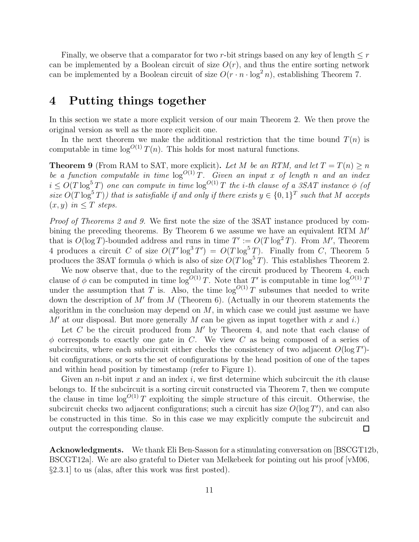Finally, we observe that a comparator for two r-bit strings based on any key of length  $\leq r$ can be implemented by a Boolean circuit of size  $O(r)$ , and thus the entire sorting network can be implemented by a Boolean circuit of size  $O(r \cdot n \cdot \log^2 n)$ , establishing Theorem 7.

## 4 Putting things together

In this section we state a more explicit version of our main Theorem 2. We then prove the original version as well as the more explicit one.

In the next theorem we make the additional restriction that the time bound  $T(n)$  is computable in time  $\log^{O(1)} T(n)$ . This holds for most natural functions.

**Theorem 9** (From RAM to SAT, more explicit). Let M be an RTM, and let  $T = T(n) > n$ *be a function computable in time*  $\log^{O(1)} T$ *. Given an input* x of length n and an index  $i \leq O(T \log^5 T)$  *one can compute in time*  $\log^{O(1)} T$  *the i-th clause of a 3SAT instance*  $\phi$  *(of size*  $O(T \log^5 T)$ *)* that is satisfiable if and only if there exists  $y \in \{0, 1\}^T$  such that M accepts  $(x, y)$  *in*  $\leq T$  *steps.* 

*Proof of Theorems 2 and 9.* We first note the size of the 3SAT instance produced by combining the preceding theorems. By Theorem 6 we assume we have an equivalent RTM  $M'$ that is  $O(\log T)$ -bounded address and runs in time  $T' := O(T \log^2 T)$ . From M', Theorem 4 produces a circuit C of size  $O(T' \log^3 T') = O(T \log^5 T)$ . Finally from C, Theorem 5 produces the 3SAT formula  $\phi$  which is also of size  $O(T \log^5 T)$ . This establishes Theorem 2.

We now observe that, due to the regularity of the circuit produced by Theorem 4, each clause of  $\phi$  can be computed in time log<sup>O(1)</sup> T. Note that T' is computable in time log<sup>O(1)</sup> T under the assumption that T is. Also, the time  $\log^{O(1)} T$  subsumes that needed to write down the description of  $M'$  from  $M$  (Theorem 6). (Actually in our theorem statements the algorithm in the conclusion may depend on  $M$ , in which case we could just assume we have  $M'$  at our disposal. But more generally M can be given as input together with x and i.)

Let C be the circuit produced from  $M'$  by Theorem 4, and note that each clause of  $\phi$  corresponds to exactly one gate in C. We view C as being composed of a series of subcircuits, where each subcircuit either checks the consistency of two adjacent  $O(\log T')$ bit configurations, or sorts the set of configurations by the head position of one of the tapes and within head position by timestamp (refer to Figure 1).

Given an *n*-bit input x and an index i, we first determine which subcircuit the ith clause belongs to. If the subcircuit is a sorting circuit constructed via Theorem 7, then we compute the clause in time  $\log^{O(1)}T$  exploiting the simple structure of this circuit. Otherwise, the subcircuit checks two adjacent configurations; such a circuit has size  $O(\log T')$ , and can also be constructed in this time. So in this case we may explicitly compute the subcircuit and output the corresponding clause.  $\Box$ 

Acknowledgments. We thank Eli Ben-Sasson for a stimulating conversation on [BSCGT12b, BSCGT12a]. We are also grateful to Dieter van Melkebeek for pointing out his proof [vM06, §2.3.1] to us (alas, after this work was first posted).